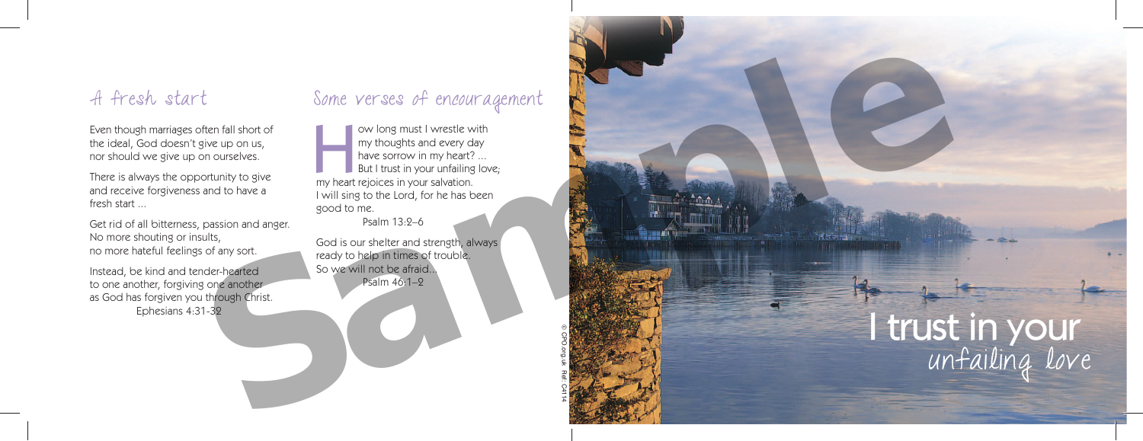Even though marriages often fall short of the ideal, God doesn't give up on us, nor should we give up on ourselves.

There is always the opportunity to give and receive forgiveness and to have a fresh start ...

Get rid of all bitterness, passion and anger. No more shouting or insults, no more hateful feelings of any sort.

Instead, be kind and tender-hearted to one another, forgiving one another as God has forgiven you through Christ.

## A fresh start Some verses of encouragement

w long must I wrestle with<br>
my thoughts and every day<br>
have sorrow in my heart? ...<br>
But I trust in your unfailing lo<br>
my heart rejoices in your salvation. my thoughts and every day have sorrow in my heart? ... But I trust in your unfailing love; I will sing to the Lord, for he has been good to me. Psalm 13:2–6

God is our shelter and strength, always ready to help in times of trouble. So we will not be afraid...